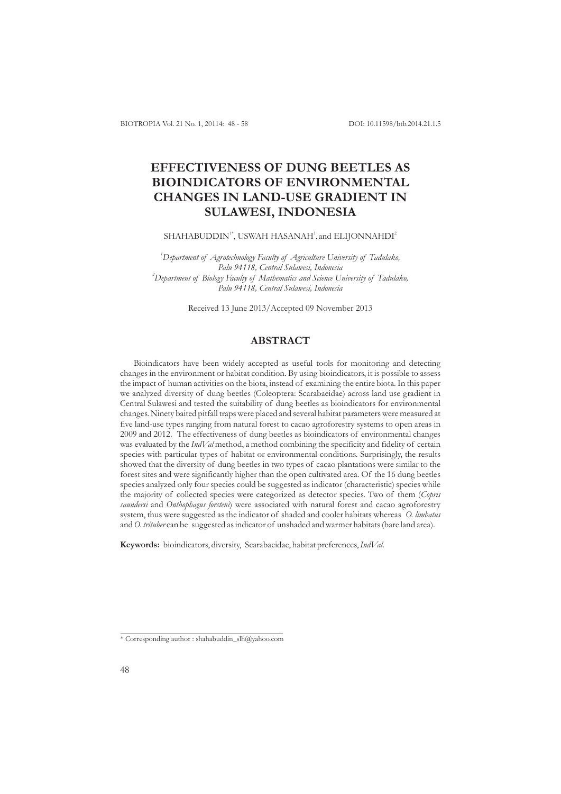# **EFFECTIVENESS OF DUNG BEETLES AS BIOINDICATORS OF ENVIRONMENTAL CHANGES IN LAND-USE GRADIENT IN SULAWESI, INDONESIA**

 $SHAHABUDDIN<sup>1*</sup>, USWAH HASANAH<sup>1</sup>, and ELIJONNAHDI<sup>2</sup>$ 

*1 Department of Agrotechnology Faculty of Agriculture University of Tadulako, 2 Department of Biology Faculty of Mathematics and Science University of Tadulako, Palu 94118, Central Sulawesi, Indonesia Palu 94118, Central Sulawesi, Indonesia*

Received 13 June 2013/Accepted 09 November 2013

# **ABSTRACT**

Bioindicators have been widely accepted as useful tools for monitoring and detecting changes in the environment or habitat condition. By using bioindicators, it is possible to assess the impact of human activities on the biota, instead of examining the entire biota. In this paper we analyzed diversity of dung beetles (Coleoptera: Scarabaeidae) across land use gradient in Central Sulawesi and tested the suitability of dung beetles as bioindicators for environmental changes. Ninety baited pitfall traps were placed and several habitat parameters were measured at five land-use types ranging from natural forest to cacao agroforestry systems to open areas in 2009 and 2012. The effectiveness of dung beetles as bioindicators of environmental changes was evaluated by the *IndVal* method, a method combining the specificity and fidelity of certain species with particular types of habitat or environmental conditions. Surprisingly, the results showed that the diversity of dung beetles in two types of cacao plantations were similar to the forest sites and were significantly higher than the open cultivated area. Of the 16 dung beetles species analyzed only four species could be suggested as indicator (characteristic) species while the majority of collected species were categorized as detector species. Two of them ( *Copris* saundersi and Onthophagus forsteni) were associated with natural forest and cacao agroforestry system, thus were suggested as the indicator of shaded and cooler habitats whereas *O. limbatus* and O. trituber can be suggested as indicator of unshaded and warmer habitats (bare land area).

Keywords: bioindicators, diversity, Scarabaeidae, habitat preferences, IndVal.

<sup>\*</sup> Corresponding author : shahabuddin\_slh@yahoo.com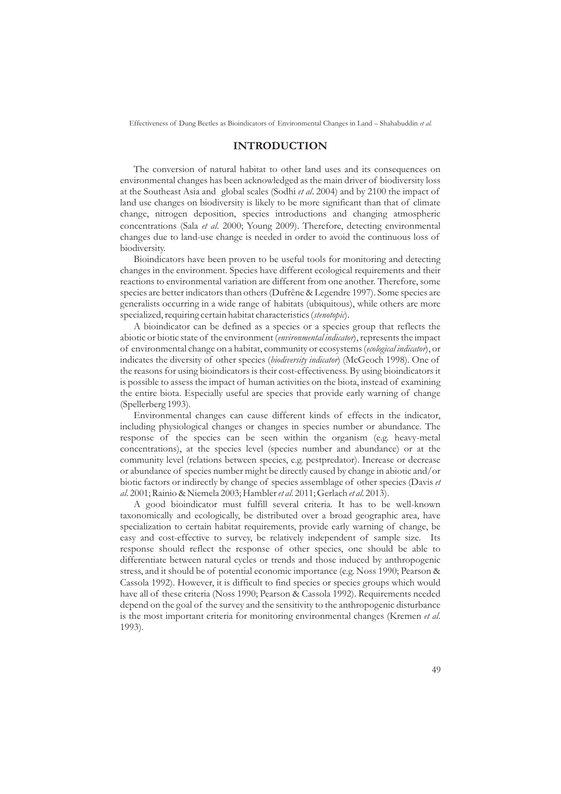Effectiveness of Dung Beetles as Bioindicators of Environmental Changes in Land - Shahabuddin et al.

# **INTRODUCTION**

The conversion of natural habitat to other land uses and its consequences on environmental changes has been acknowledged as the main driver of biodiversity loss at the Southeast Asia and global scales (Sodhi et al. 2004) and by 2100 the impact of land use changes on biodiversity is likely to be more significant than that of climate change, nitrogen deposition, species introductions and changing atmospheric concentrations (Sala et al. 2000; Young 2009). Therefore, detecting environmental changes due to land-use change is needed in order to avoid the continuous loss of biodiversity.

Bioindicators have been proven to be useful tools for monitoring and detecting changes in the environment. Species have different ecological requirements and their reactions to environmental variation are different from one another. Therefore, some species are better indicators than others (Dufrêne & Legendre 1997). Some species are generalists occurring in a wide range of habitats (ubiquitous), while others are more specialized, requiring certain habitat characteristics (stenotopic).

A bioindicator can be defined as a species or a species group that reflects the abiotic or biotic state of the environment (environmental indicator), represents the impact of environmental change on a habitat, community or ecosystems (ecological indicator), or indicates the diversity of other species (biodiversity indicator) (McGeoch 1998). One of the reasons for using bioindicators is their cost-effectiveness. By using bioindicators it is possible to assess the impact of human activities on the biota, instead of examining the entire biota. Especially useful are species that provide early warning of change (Spellerberg 1993) *.*

Environmental changes can cause different kinds of effects in the indicator, including physiological changes or changes in species number or abundance. The response of the species can be seen within the organism (e.g. heavy-metal concentrations), at the species level (species number and abundance) or at the community level (relations between species, e.g. pestpredator). Increase or decrease or abundance of species number might be directly caused by change in abiotic and/or biotic factors or indirectly by change of species assemblage of other species (Davis *et* al. 2001; Rainio & Niemela 2003; Hambler et al. 2011; Gerlach et al. 2013).

A good bioindicator must fulfill several criteria. It has to be well-known taxonomically and ecologically, be distributed over a broad geographic area, have specialization to certain habitat requirements, provide early warning of change, be easy and cost-effective to survey, be relatively independent of sample size. Its response should reflect the response of other species, one should be able to differentiate between natural cycles or trends and those induced by anthropogenic stress, and it should be of potential economic importance (e.g. Noss 1990; Pearson & Cassola 1992). However, it is difficult to find species or species groups which would have all of these criteria (Noss 1990; Pearson & Cassola 1992). Requirements needed depend on the goal of the survey and the sensitivity to the anthropogenic disturbance is the most important criteria for monitoring environmental changes (Kremen et al. 1993).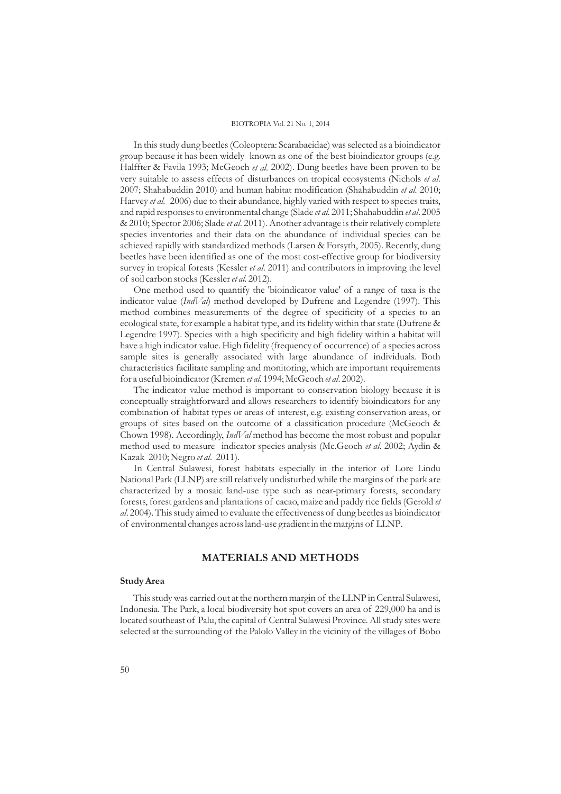#### BIOTROPIA Vol. 21 No. 1, 2014

In this study dung beetles (Coleoptera: Scarabaeidae) was selected as a bioindicator group because it has been widely known as one of the best bioindicator groups (e.g. Halffter & Favila 1993; McGeoch et al. 2002). Dung beetles have been proven to be very suitable to assess effects of disturbances on tropical ecosystems (Nichols et al. 2007; Shahabuddin 2010) and human habitat modification (Shahabuddin et al. 2010; Harvey et al. 2006) due to their abundance, highly varied with respect to species traits, and rapid responses to environmental change (Slade et al. 2011; Shahabuddin et al. 2005 & 2010; Spector 2006; Slade et al. 2011). Another advantage is their relatively complete species inventories and their data on the abundance of individual species can be achieved rapidly with standardized methods (Larsen & Forsyth, 2005). Recently, dung beetles have been identified as one of the most cost-effective group for biodiversity survey in tropical forests (Kessler et al. 2011) and contributors in improving the level of soil carbon stocks (Kessler et al. 2012).

One method used to quantify the 'bioindicator value' of a range of taxa is the indicator value (IndVal) method developed by Dufrene and Legendre (1997). This method combines measurements of the degree of specificity of a species to an ecological state, for example a habitat type, and its fidelity within that state (Dufrene & Legendre 1997). Species with a high specificity and high fidelity within a habitat will have a high indicator value. High fidelity (frequency of occurrence) of a species across sample sites is generally associated with large abundance of individuals. Both characteristics facilitate sampling and monitoring, which are important requirements for a useful bioindicator (Kremen et al. 1994; McGeoch et al. 2002).

The indicator value method is important to conservation biology because it is conceptually straightforward and allows researchers to identify bioindicators for any combination of habitat types or areas of interest, e.g. existing conservation areas, or groups of sites based on the outcome of a classification procedure (McGeoch & Chown 1998). Accordingly, *IndVal* method has become the most robust and popular method used to measure indicator species analysis (Mc.Geoch et al. 2002; Aydin & Kazak 2010; Negro et al. 2011).

In Central Sulawesi, forest habitats especially in the interior of Lore Lindu National Park (LLNP) are still relatively undisturbed while the margins of the park are characterized by a mosaic land-use type such as near-primary forests, secondary forests, forest gardens and plantations of cacao, maize and paddy rice fields (Gerold ei . 2004). This study aimed to evaluate the effectiveness of dung beetles as bioindicator *al* of environmental changes across land-use gradient in the margins of LLNP.

# **MATERIALS AND METHODS**

# **Study Area**

This study was carried out at the northern margin of the LLNP in Central Sulawesi, Indonesia. The Park, a local biodiversity hot spot covers an area of 229,000 ha and is located southeast of Palu, the capital of Central Sulawesi Province. All study sites were selected at the surrounding of the Palolo Valley in the vicinity of the villages of Bobo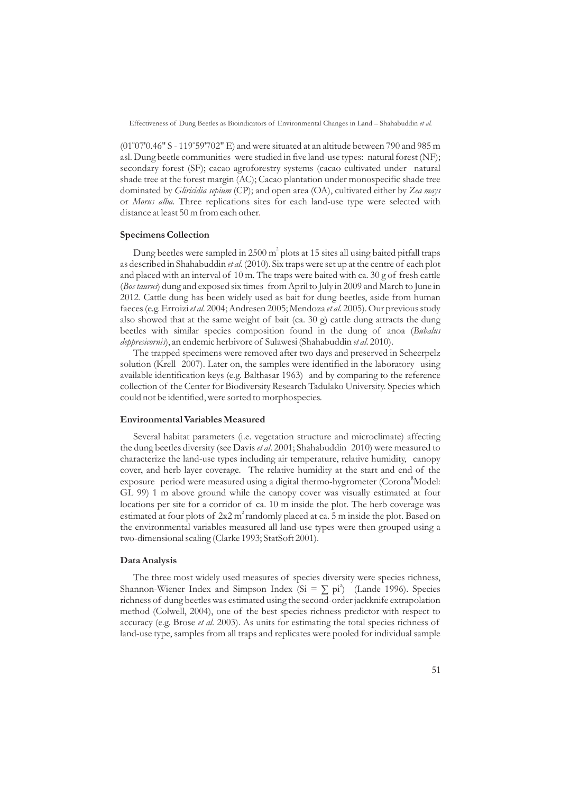Effectiveness of Dung Beetles as Bioindicators of Environmental Changes in Land - Shahabuddin et al.

 $(01^{\circ}07'0.46"$  S -  $119^{\circ}59'702"$  E) and were situated at an altitude between 790 and 985 m asl. Dung beetle communities were studied in five land-use types: natural forest (NF); secondary forest (SF); cacao agroforestry systems (cacao cultivated under natural shade tree at the forest margin (AC); Cacao plantation under monospecific shade tree dominated by *Gliricidia sepium* (CP); and open area (OA), cultivated either by Zea mays or Morus alba. Three replications sites for each land-use type were selected with distance at least 50 m from each other .

## **Specimens Collection**

Dung beetles were sampled in 2500  $\text{m}^2$  plots at 15 sites all using baited pitfall traps as described in Shahabuddin et al. (2010). Six traps were set up at the centre of each plot and placed with an interval of 10 m. The traps were baited with ca. 30 g of fresh cattle (Bos taurus) dung and exposed six times from April to July in 2009 and March to June in 2012. Cattle dung has been widely used as bait for dung beetles, aside from human faeces (e.g. Erroizi et al. 2004; Andresen 2005; Mendoza et al. 2005). Our previous study also showed that at the same weight of bait (ca. 30 g) cattle dung attracts the dung beetles with similar species composition found in the dung of anoa ( *Bubalus* deppresicornis), an endemic herbivore of Sulawesi (Shahabuddin et al. 2010).

The trapped specimens were removed after two days and preserved in Scheerpelz solution (Krell 2007). Later on, the samples were identified in the laboratory using available identification keys (e.g. Balthasar 1963) and by comparing to the reference collection of the Center for Biodiversity Research Tadulako University. Species which could not be identified, were sorted to morphospecies.

#### **Environmental Variables Measured**

Several habitat parameters (i.e. vegetation structure and microclimate) affecting the dung beetles diversity (see Davis et al. 2001; Shahabuddin 2010) were measured to characterize the land-use types including air temperature, relative humidity, canopy cover, and herb layer coverage. The relative humidity at the start and end of the exposure period were measured using a digital thermo-hygrometer (Corona<sup>R</sup>Model: GL 99) 1 m above ground while the canopy cover was visually estimated at four locations per site for a corridor of ca. 10 m inside the plot. The herb coverage was estimated at four plots of  $2x2 \text{ m}^2$  randomly placed at ca. 5 m inside the plot. Based on the environmental variables measured all land-use types were then grouped using a two-dimensional scaling (Clarke 1993; StatSoft 2001).

### **Data Analysis**

The three most widely used measures of species diversity were species richness, Shannon-Wiener Index and Simpson Index (Si =  $\sum$  pi<sup>2</sup>) (Lande 1996). Species richness of dung beetles was estimated using the second-order jackknife extrapolation method (Colwell, 2004), one of the best species richness predictor with respect to accuracy (e.g. Brose et al. 2003). As units for estimating the total species richness of land-use type, samples from all traps and replicates were pooled for individual sample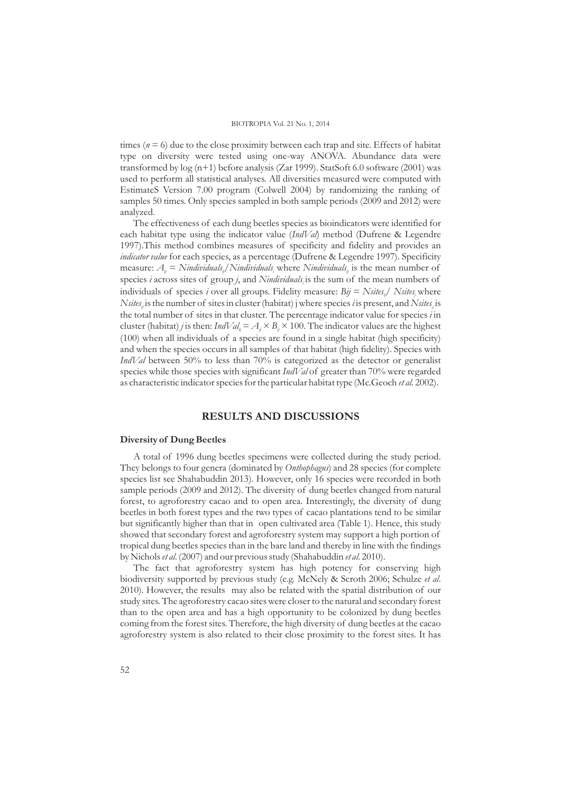times ( $n = 6$ ) due to the close proximity between each trap and site. Effects of habitat type on diversity were tested using one-way ANOVA. Abundance data were transformed by log (n+1) before analysis (Zar 1999). StatSoft 6.0 software (2001) was used to perform all statistical analyses. All diversities measured were computed with EstimateS Version 7.00 program (Colwell 2004) by randomizing the ranking of samples 50 times. Only species sampled in both sample periods (2009 and 2012) were analyzed.

The effectiveness of each dung beetles species as bioindicators were identified for each habitat type using the indicator value (IndVal) method (Dufrene & Legendre 1997).This method combines measures of specificity and fidelity and provides an indicator value for each species, as a percentage (Dufrene & Legendre 1997). Specificity measure:  $A_{ij}$  = *Nindividuals<sub>i</sub>*/*Nindividuals*, where *Nindividuals<sub>ij</sub>* is the mean number of species *i* across sites of group *j*, and *Nindividuals*, is the sum of the mean numbers of individuals of species *i* over all groups. Fidelity measure:  $Bij = N_{\text{sites}_{ij}}/N_{\text{sites}_j}$  where  $N_{\textit{sites}_y}$  is the number of sites in cluster (habitat) j where species *i* is present, and  $N_{\textit{sites}_j}$  is the total number of sites in that cluster. The percentage indicator value for species i in cluster (habitat) *j* is then: *IndVal*<sub>ij</sub> =  $A_i \times B_j \times 100$ . The indicator values are the highest (100) when all individuals of a species are found in a single habitat (high specificity) and when the species occurs in all samples of that habitat (high fidelity). Species with IndVal between 50% to less than 70% is categorized as the detector or generalist species while those species with significant IndVal of greater than 70% were regarded as characteristic indicator species for the particular habitat type (Mc.Geoch et al. 2002).

# **RESULTS AND DISCUSSIONS**

#### **Diversity of Dung Beetles**

A total of 1996 dung beetles specimens were collected during the study period. They belongs to four genera (dominated by Onthophagus) and 28 species (for complete species list see Shahabuddin 2013). However, only 16 species were recorded in both sample periods (2009 and 2012). The diversity of dung beetles changed from natural forest, to agroforestry cacao and to open area. Interestingly, the diversity of dung beetles in both forest types and the two types of cacao plantations tend to be similar but significantly higher than that in open cultivated area (Table 1). Hence, this study showed that secondary forest and agroforestry system may support a high portion of tropical dung beetles species than in the bare land and thereby in line with the findings by Nichols et al. (2007) and our previous study (Shahabuddin et al. 2010).

The fact that agroforestry system has high potency for conserving high biodiversity supported by previous study (e.g. McNely & Scroth 2006; Schulze et al. 2010). However, the results may also be related with the spatial distribution of our study sites. The agroforestry cacao sites were closer to the natural and secondary forest than to the open area and has a high opportunity to be colonized by dung beetles coming from the forest sites. Therefore, the high diversity of dung beetles at the cacao agroforestry system is also related to their close proximity to the forest sites. It has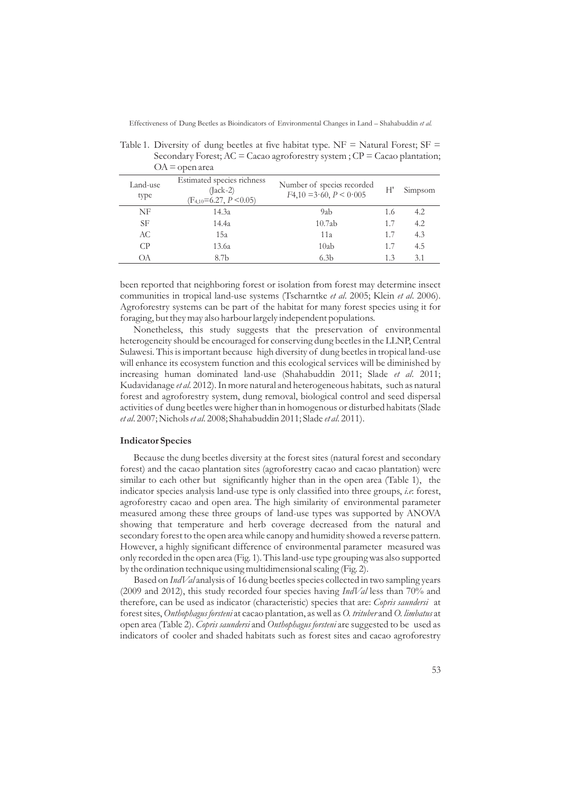Effectiveness of Dung Beetles as Bioindicators of Environmental Changes in Land - Shahabuddin et al.

| Land-use<br>type | Estimated species richness<br>$(lack-2)$<br>$(F_{4,10} = 6.27, P \le 0.05)$ | Number of species recorded<br>$F4,10 = 3.60, P < 0.005$ | H'  | Simpsom |
|------------------|-----------------------------------------------------------------------------|---------------------------------------------------------|-----|---------|
| NF               | 14.3a                                                                       | 9ab                                                     | 1.6 | 4.2     |
| <b>SF</b>        | 14.4a                                                                       | 10.7ab                                                  | 1.7 | 4.2     |
| АC               | 15a                                                                         | 11a                                                     | 1.7 | 4.3     |
| CP               | 13.6a                                                                       | 10ab                                                    | 1.7 | 4.5     |
| ОA               | 8.7 <sub>b</sub>                                                            | 6.3 <sub>b</sub>                                        | 1.3 | 3.1     |

Table 1. Diversity of dung beetles at five habitat type.  $NF = Natural Forest; SF =$ Secondary Forest;  $AC = C$ acao agroforestry system;  $CP = C$ acao plantation;  $OA = open area$ 

been reported that neighboring forest or isolation from forest may determine insect communities in tropical land-use systems (Tscharntke et al. 2005; Klein et al. 2006). Agroforestry systems can be part of the habitat for many forest species using it for foraging, but they may also harbour largely independent populations.

Nonetheless, this study suggests that the preservation of environmental heterogeneity should be encouraged for conserving dung beetles in the LLNP, Central Sulawesi. This is important because high diversity of dung beetles in tropical land-use will enhance its ecosystem function and this ecological services will be diminished by increasing human dominated land-use (Shahabuddin 2011; Slade et al. 2011; Kudavidanage et al. 2012). In more natural and heterogeneous habitats, such as natural forest and agroforestry system, dung removal, biological control and seed dispersal activities of dung beetles were higher than in homogenous or disturbed habitats (Slade *et al.* 2007; Nichols *et al.* 2008; Shahabuddin 2011; Slade *et al.* 2011).

## **Indicator Species**

Because the dung beetles diversity at the forest sites (natural forest and secondary forest) and the cacao plantation sites (agroforestry cacao and cacao plantation) were similar to each other but significantly higher than in the open area (Table 1), the indicator species analysis land-use type is only classified into three groups, *i.e*: forest, agroforestry cacao and open area. The high similarity of environmental parameter measured among these three groups of land-use types was supported by ANOVA showing that temperature and herb coverage decreased from the natural and secondary forest to the open area while canopy and humidity showed a reverse pattern. However, a highly significant difference of environmental parameter measured was only recorded in the open area (Fig. 1). This land-use type grouping was also supported by the ordination technique using multidimensional scaling (Fig. 2).

Based on IndVal analysis of 16 dung beetles species collected in two sampling years (2009 and 2012), this study recorded four species having IndVal less than 70% and therefore, can be used as indicator (characteristic) species that are: Copris saundersi at forest sites, Onthophagus forsteni at cacao plantation, as well as O. trituber and O. limbatus at open area (Table 2). Copris saundersi and Onthophagus forsteni are suggested to be used as indicators of cooler and shaded habitats such as forest sites and cacao agroforestry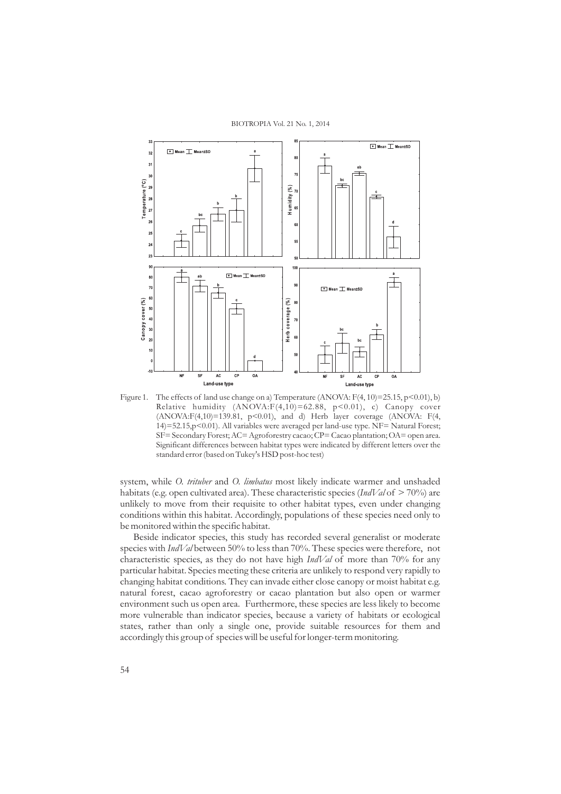



Figure 1. The effects of land use change on a) Temperature (ANOVA: F(4, 10)=25.15, p<0.01), b) Relative humidity (ANOVA:F(4,10)=62.88, p<0.01), c) Canopy cover (ANOVA:F(4,10)=139.81, p<0.01), and d) Herb layer coverage (ANOVA: F(4, 14)=52.15,p<0.01). All variables were averaged per land-use type. NF= Natural Forest; SF= Secondary Forest; AC= Agroforestry cacao; CP= Cacao plantation; OA= open area. Significant differences between habitat types were indicated by different letters over the standard error (based on Tukey's HSD post-hoc test)

system, while O. trituber and O. limbatus most likely indicate warmer and unshaded habitats (e.g. open cultivated area). These characteristic species (IndVal of > 70%) are unlikely to move from their requisite to other habitat types, even under changing conditions within this habitat. Accordingly, populations of these species need only to be monitored within the specific habitat.

Beside indicator species, this study has recorded several generalist or moderate species with *IndVal* between 50% to less than 70%. These species were therefore, not characteristic species, as they do not have high IndVal of more than 70% for any particular habitat. Species meeting these criteria are unlikely to respond very rapidly to changing habitat conditions. They can invade either close canopy or moist habitat e.g. natural forest, cacao agroforestry or cacao plantation but also open or warmer environment such us open area. Furthermore, these species are less likely to become more vulnerable than indicator species, because a variety of habitats or ecological states, rather than only a single one, provide suitable resources for them and accordingly this group of species will be useful for longer-term monitoring.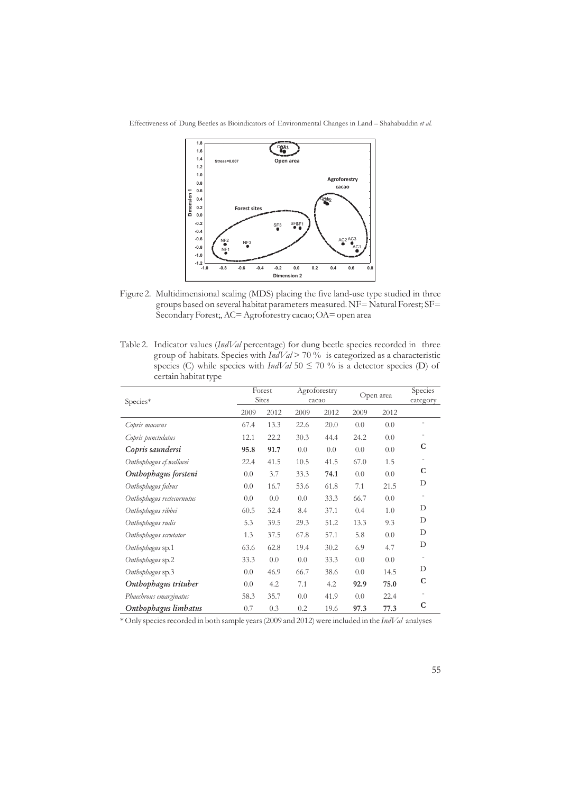Effectiveness of Dung Beetles as Bioindicators of Environmental Changes in Land - Shahabuddin et al.



Figure 2. Multidimensional scaling (MDS) placing the five land-use type studied in three groups based on several habitat parameters measured. NF= Natural Forest; SF= Secondary Forest;, AC= Agroforestry cacao; OA= open area

Table 2. Indicator values (IndVal percentage) for dung beetle species recorded in three group of habitats. Species with *IndVal* > 70 % is categorized as a characteristic species (C) while species with  $IndVal$  50  $\leq$  70 % is a detector species (D) of certain habitat type

| Species*                  | Forest<br><b>Sites</b> |      | Agroforestry<br>cacao |      | Open area |      | Species<br>category      |
|---------------------------|------------------------|------|-----------------------|------|-----------|------|--------------------------|
|                           | 2009                   | 2012 | 2009                  | 2012 | 2009      | 2012 |                          |
| Copris macacus            | 67.4                   | 13.3 | 22.6                  | 20.0 | 0.0       | 0.0  |                          |
| Copris punctulatus        | 12.1                   | 22.2 | 30.3                  | 44.4 | 24.2      | 0.0  |                          |
| Copris saundersi          | 95.8                   | 91.7 | 0.0                   | 0.0  | 0.0       | 0.0  | C                        |
| Onthophagus cf.wallacei   | 22.4                   | 41.5 | 10.5                  | 41.5 | 67.0      | 1.5  |                          |
| Onthophagus forsteni      | 0.0                    | 3.7  | 33.3                  | 74.1 | 0.0       | 0.0  | C                        |
| Onthophagus fulvus        | 0.0                    | 16.7 | 53.6                  | 61.8 | 7.1       | 21.5 | D                        |
| Onthophagus rectecornutus | 0.0                    | 0.0  | 0.0                   | 33.3 | 66.7      | 0.0  | $\overline{\phantom{0}}$ |
| Onthophagus ribbei        | 60.5                   | 32.4 | 8.4                   | 37.1 | 0.4       | 1.0  | D                        |
| Onthophagus rudis         | 5.3                    | 39.5 | 29.3                  | 51.2 | 13.3      | 9.3  | D                        |
| Onthophagus scrutator     | 1.3                    | 37.5 | 67.8                  | 57.1 | 5.8       | 0.0  | D                        |
| Onthophagus sp.1          | 63.6                   | 62.8 | 19.4                  | 30.2 | 6.9       | 4.7  | D                        |
| Onthophagus sp.2          | 33.3                   | 0.0  | 0.0                   | 33.3 | 0.0       | 0.0  |                          |
| Onthophagus sp.3          | 0.0                    | 46.9 | 66.7                  | 38.6 | 0.0       | 14.5 | D                        |
| Onthophagus trituber      | 0.0                    | 4.2  | 7.1                   | 4.2  | 92.9      | 75.0 | C                        |
| Phaechrous emarginatus    | 58.3                   | 35.7 | 0.0                   | 41.9 | 0.0       | 22.4 |                          |
| Onthophagus limbatus      | 0.7                    | 0.3  | 0.2                   | 19.6 | 97.3      | 77.3 | $\mathbf C$              |

\* Only species recorded in both sample years (2009 and 2012) were included in the IndVal analyses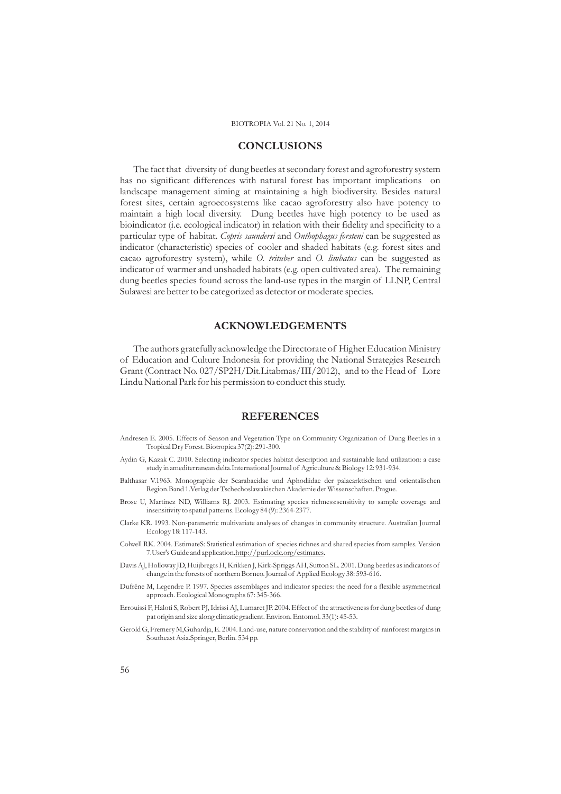### **CONCLUSIONS**

The fact that diversity of dung beetles at secondary forest and agroforestry system has no significant differences with natural forest has important implications on landscape management aiming at maintaining a high biodiversity. Besides natural forest sites, certain agroecosystems like cacao agroforestry also have potency to maintain a high local diversity. Dung beetles have high potency to be used as bioindicator (i.e. ecological indicator) in relation with their fidelity and specificity to a particular type of habitat. Copris saundersi and Onthophagus forsteni can be suggested as indicator (characteristic) species of cooler and shaded habitats (e.g. forest sites and cacao agroforestry system), while O. trituber and O. limbatus can be suggested as indicator of warmer and unshaded habitats (e.g. open cultivated area). The remaining dung beetles species found across the land-use types in the margin of LLNP, Central Sulawesi are better to be categorized as detector or moderate species.

# **ACKNOWLEDGEMENTS**

The authors gratefully acknowledge the Directorate of Higher Education Ministry of Education and Culture Indonesia for providing the National Strategies Research Grant (Contract No. 027/SP2H/Dit.Litabmas/III/2012), and to the Head of Lore Lindu National Park for his permission to conduct this study.

# **REFERENCES**

- Andresen E. 2005. Effects of Season and Vegetation Type on Community Organization of Dung Beetles in a Tropical Dry Forest. Biotropica 37(2): 291-300.
- Aydin G, Kazak C. 2010. Selecting indicator species habitat description and sustainable land utilization: a case study in amediterranean delta.International Journal of Agriculture & Biology 12: 931-934.
- Balthasar V.1963. Monographie der Scarabaeidae und Aphodiidae der palaearktischen und orientalischen Region.Band 1.Verlag der Tschechoslawakischen Akademie der Wissenschaften. Prague.
- Brose U, Martinez ND, Williams RJ. 2003. Estimating species richness:sensitivity to sample coverage and insensitivity to spatial patterns. Ecology 84 (9): 2364-2377.
- Clarke KR. 1993. Non-parametric multivariate analyses of changes in community structure. Australian Journal Ecology 18: 117-143.
- Colwell RK. 2004. EstimateS: Statistical estimation of species richnes and shared species from samples. Version 7. User's Guide and application.http://purl.oclc.org/estimates.
- Davis AJ, Holloway JD, Huijbregts H, Krikken J, Kirk-Spriggs AH, Sutton SL. 2001. Dung beetles as indicators of change in the forests of northern Borneo. Journal of Applied Ecology 38: 593-616.
- Dufrêne M, Legendre P. 1997. Species assemblages and indicator species: the need for a flexible asymmetrical approach. Ecological Monographs 67: 345-366.
- Errouissi F, Haloti S, Robert PJ, Idrissi AJ, Lumaret JP. 2004. Effect of the attractiveness for dung beetles of dung pat origin and size along climatic gradient. Environ. Entomol. 33(1): 45-53.
- Gerold G, Fremery M,Guhardja, E. 2004. Land-use, nature conservation and the stability of rainforest margins in Southeast Asia.Springer, Berlin. 534 pp.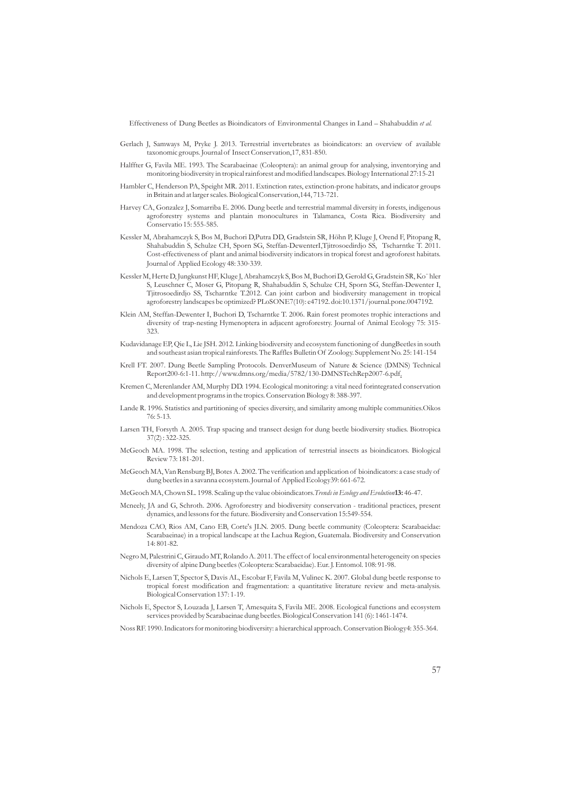Effectiveness of Dung Beetles as Bioindicators of Environmental Changes in Land - Shahabuddin et al.

- Gerlach J, Samways M, Pryke J. 2013. Terrestrial invertebrates as bioindicators: an overview of available taxonomic groups. Journal of Insect Conservation,17, 831-850.
- Halffter G, Favila ME. 1993. The Scarabaeinae (Coleoptera): an animal group for analysing, inventorying and monitoring biodiversity in tropical rainforest and modified landscapes. Biology International 27:15-21
- Hambler C, Henderson PA, Speight MR. 2011. Extinction rates, extinction-prone habitats, and indicator groups in Britain and at larger scales. Biological Conservation,144, 713-721.
- Harvey CA, Gonzalez J, Somarriba E. 2006. Dung beetle and terrestrial mammal diversity in forests, indigenous agroforestry systems and plantain monocultures in Talamanca, Costa Rica. Biodiversity and Conservatio 15: 555-585.
- Kessler M, Abrahamczyk S, Bos M, Buchori D,Putra DD, Gradstein SR, Höhn P, Kluge J, Orend F, Pitopang R, Shahabuddin S, Schulze CH, Sporn SG, Steffan-DewenterI,Tjitrosoedirdjo SS, Tscharntke T. 2011. Cost-effectiveness of plant and animal biodiversity indicators in tropical forest and agroforest habitats. Journal of Applied Ecology 48: 330-339.
- Kessler M, Herte D, Jungkunst HF, Kluge J, Abrahamczyk S, Bos M, Buchori D, Gerold G, Gradstein SR, Ko¨ hler S, Leuschner C, Moser G, Pitopang R, Shahabuddin S, Schulze CH, Sporn SG, Steffan-Dewenter I, Tjitrosoedirdjo SS, Tscharntke T.2012. Can joint carbon and biodiversity management in tropical agroforestry landscapes be optimized? PLoSONE7(10): e47192. doi:10.1371/journal.pone.0047192.
- Klein AM, Steffan-Dewenter I, Buchori D, Tscharntke T. 2006. Rain forest promotes trophic interactions and diversity of trap-nesting Hymenoptera in adjacent agroforestry. Journal of Animal Ecology 75: 315- 323.
- Kudavidanage EP, Qie L, Lie JSH. 2012. Linking biodiversity and ecosystem functioning of dungBeetles in south and southeast asian tropical rainforests. The Raffles Bulletin Of Zoology. Supplement No. 25: 141-154
- Krell FT. 2007. Dung Beetle Sampling Protocols. DenverMuseum of Nature & Science (DMNS) Technical Report200-6:1-11. http://www.dmns.org/media/5782/130-DMNSTechRep2007-6.pdf .
- Kremen C, Merenlander AM, Murphy DD. 1994. Ecological monitoring: a vital need forintegrated conservation and development programs in the tropics. Conservation Biology 8: 388-397.
- Lande R. 1996. Statistics and partitioning of species diversity, and similarity among multiple communities.Oikos 76: 5-13.
- Larsen TH, Forsyth A. 2005. Trap spacing and transect design for dung beetle biodiversity studies. Biotropica 37(2) : 322-325 *.*
- McGeoch MA. 1998. The selection, testing and application of terrestrial insects as bioindicators. Biological Review 73: 181-201.
- McGeoch MA, Van Rensburg BJ, Botes A. 2002. The verification and application of bioindicators: a case study of dung beetles in a savanna ecosystem. Journal of Applied Ecology39: 661-672.
- McGeoch MA, Chown SL. 1998. Scaling up the value obioindicators. Trends in Ecology and Evolution<sup>13: 46-47.</sup>
- Mcneely, JA and G, Schroth. 2006. Agroforestry and biodiversity conservation traditional practices, present dynamics, and lessons for the future. Biodiversity and Conservation 15:549-554.
- Mendoza CAO, Rios AM, Cano EB, Corte's JLN. 2005. Dung beetle community (Coleoptera: Scarabaeidae: Scarabaeinae) in a tropical landscape at the Lachua Region, Guatemala. Biodiversity and Conservation 14: 801-82.
- Negro M, Palestrini C, Giraudo MT, Rolando A. 2011. The effect of local environmental heterogeneity on species diversity of alpine Dung beetles (Coleoptera: Scarabaeidae). Eur. J. Entomol. 108: 91-98.
- Nichols E, Larsen T, Spector S, Davis AL, Escobar F, Favila M, Vulinec K. 2007. Global dung beetle response to tropical forest modification and fragmentation: a quantitative literature review and meta-analysis. Biological Conservation 137: 1-19.
- Nichols E, Spector S, Louzada J, Larsen T, Amesquita S, Favila ME. 2008. Ecological functions and ecosystem services provided by Scarabaeinae dung beetles. Biological Conservation 141 (6): 1461-1474.
- Noss RF. 1990. Indicators for monitoring biodiversity: a hierarchical approach. Conservation Biology4: 355-364.